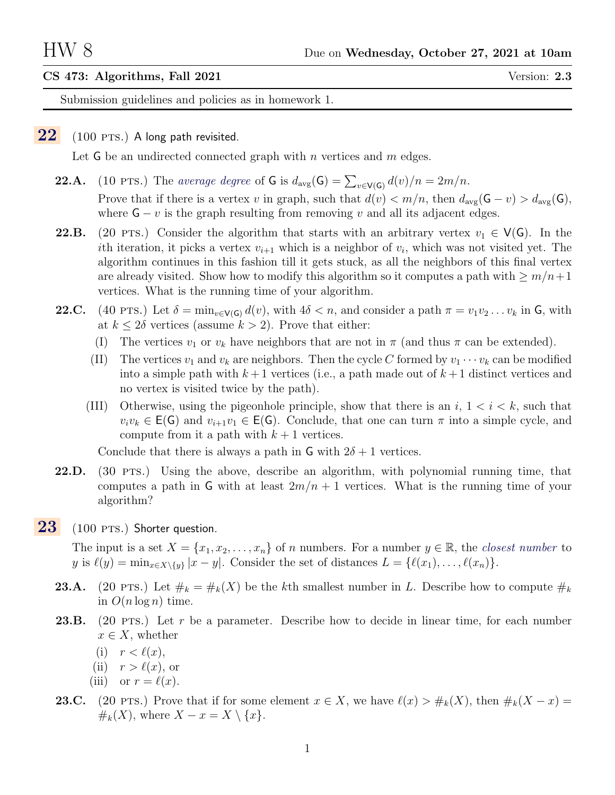## CS 473: Algorithms, Fall 2021 Version: 2.3

Submission guidelines and policies as in homework 1.

## <span id="page-0-0"></span> $22$  (100 PTS.) A long path revisited.

Let G be an undirected connected graph with n vertices and  $m$  edges.

- **22.A.** (10 PTS.) The average degree of G is  $d_{\text{avg}}(G) = \sum_{v \in V(G)} d(v)/n = 2m/n$ . Prove that if there is a vertex v in graph, such that  $d(v) < m/n$ , then  $d_{avg}(\mathsf{G} - v) > d_{avg}(\mathsf{G})$ , where  $G - v$  is the graph resulting from removing v and all its adjacent edges.
- 22.B. (20 PTS.) Consider the algorithm that starts with an arbitrary vertex  $v_1 \in V(G)$ . In the ith iteration, it picks a vertex  $v_{i+1}$  which is a neighbor of  $v_i$ , which was not visited yet. The algorithm continues in this fashion till it gets stuck, as all the neighbors of this final vertex are already visited. Show how to modify this algorithm so it computes a path with  $\geq m/n+1$ vertices. What is the running time of your algorithm.
- **22.C.** (40 pts.) Let  $\delta = \min_{v \in V(G)} d(v)$ , with  $4\delta < n$ , and consider a path  $\pi = v_1v_2 \ldots v_k$  in G, with at  $k \leq 2\delta$  vertices (assume  $k > 2$ ). Prove that either:
	- (I) The vertices  $v_1$  or  $v_k$  have neighbors that are not in  $\pi$  (and thus  $\pi$  can be extended).
	- (II) The vertices  $v_1$  and  $v_k$  are neighbors. Then the cycle C formed by  $v_1 \cdots v_k$  can be modified into a simple path with  $k+1$  vertices (i.e., a path made out of  $k+1$  distinct vertices and no vertex is visited twice by the path).
	- (III) Otherwise, using the pigeonhole principle, show that there is an  $i, 1 \leq i \leq k$ , such that  $v_i v_k \in E(G)$  and  $v_{i+1} v_1 \in E(G)$ . Conclude, that one can turn  $\pi$  into a simple cycle, and compute from it a path with  $k + 1$  vertices.

Conclude that there is always a path in  $\mathsf G$  with  $2\delta+1$  vertices.

- 22.D. (30 PTS.) Using the above, describe an algorithm, with polynomial running time, that computes a path in G with at least  $2m/n + 1$  vertices. What is the running time of your algorithm?
- $23$  (100 PTS.) Shorter question.

The input is a set  $X = \{x_1, x_2, \ldots, x_n\}$  of n numbers. For a number  $y \in \mathbb{R}$ , the closest number to y is  $\ell(y) = \min_{x \in X \setminus \{y\}} |x - y|$ . Consider the set of distances  $L = \{\ell(x_1), \ldots, \ell(x_n)\}.$ 

- **23.A.** (20 PTS.) Let  $\#_k = \#_k(X)$  be the kth smallest number in L. Describe how to compute  $\#_k$ in  $O(n \log n)$  time.
- **23.B.** (20 PTS.) Let r be a parameter. Describe how to decide in linear time, for each number  $x \in X$ , whether
	- (i)  $r < \ell(x)$ ,
	- (ii)  $r > \ell(x)$ , or
	- (iii) or  $r = \ell(x)$ .
- 23.C. (20 pts.) Prove that if for some element  $x \in X$ , we have  $\ell(x) > #_k(X)$ , then  $#_k(X x) =$  $\#_k(X)$ , where  $X - x = X \setminus \{x\}.$